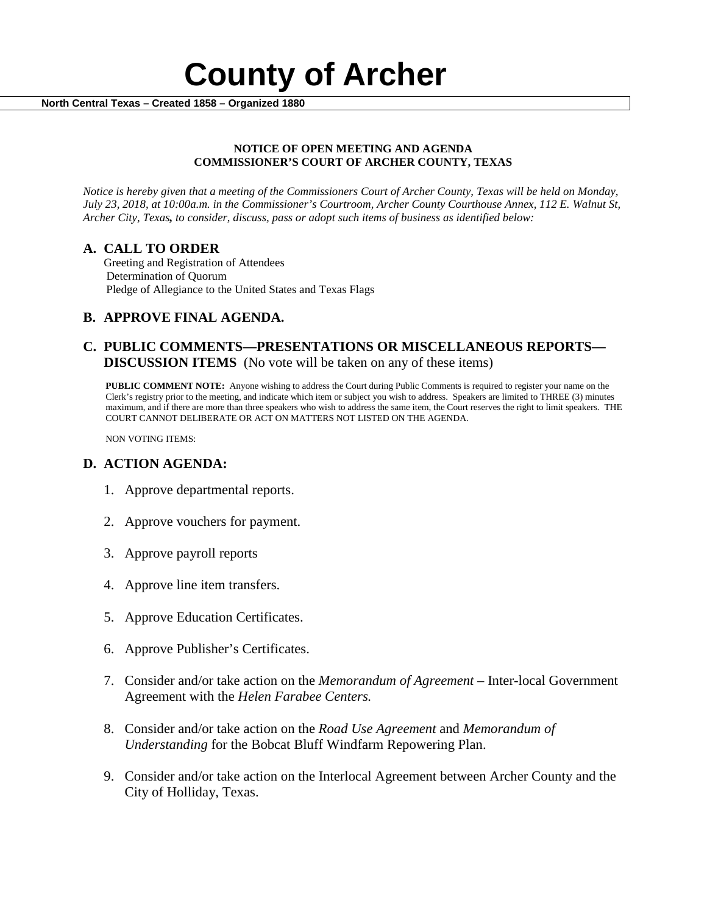

#### **NOTICE OF OPEN MEETING AND AGENDA COMMISSIONER'S COURT OF ARCHER COUNTY, TEXAS**

*Notice is hereby given that a meeting of the Commissioners Court of Archer County, Texas will be held on Monday, July 23, 2018, at 10:00a.m. in the Commissioner's Courtroom, Archer County Courthouse Annex, 112 E. Walnut St, Archer City, Texas, to consider, discuss, pass or adopt such items of business as identified below:*

**A. CALL TO ORDER** Greeting and Registration of Attendees Determination of Quorum Pledge of Allegiance to the United States and Texas Flags

# **B. APPROVE FINAL AGENDA.**

# **C. PUBLIC COMMENTS—PRESENTATIONS OR MISCELLANEOUS REPORTS— DISCUSSION ITEMS** (No vote will be taken on any of these items)

**PUBLIC COMMENT NOTE:** Anyone wishing to address the Court during Public Comments is required to register your name on the Clerk's registry prior to the meeting, and indicate which item or subject you wish to address. Speakers are limited to THREE (3) minutes maximum, and if there are more than three speakers who wish to address the same item, the Court reserves the right to limit speakers. THE COURT CANNOT DELIBERATE OR ACT ON MATTERS NOT LISTED ON THE AGENDA.

NON VOTING ITEMS:

### **D. ACTION AGENDA:**

- 1. Approve departmental reports.
- 2. Approve vouchers for payment.
- 3. Approve payroll reports
- 4. Approve line item transfers.
- 5. Approve Education Certificates.
- 6. Approve Publisher's Certificates.
- 7. Consider and/or take action on the *Memorandum of Agreement –* Inter-local Government Agreement with the *Helen Farabee Centers.*
- 8. Consider and/or take action on the *Road Use Agreement* and *Memorandum of Understanding* for the Bobcat Bluff Windfarm Repowering Plan.
- 9. Consider and/or take action on the Interlocal Agreement between Archer County and the City of Holliday, Texas.